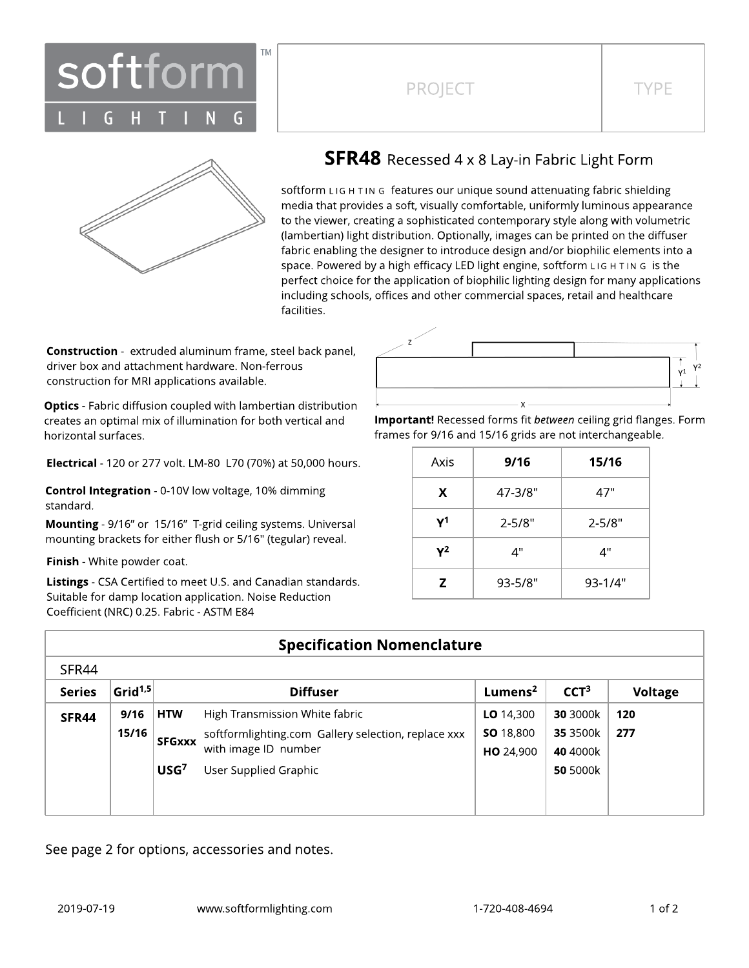

## PROJECT TYPE



## **SFR48** Recessed 4 x 8 Lay-in Fabric Light Form

softform LIG H TIN G features our unique sound attenuating fabric shielding media that provides a soft, visually comfortable, uniformly luminous appearance to the viewer, creating a sophisticated contemporary style along with volumetric (lambertian) light distribution. Optionally, images can be printed on the diffuser fabric enabling the designer to introduce design and/or biophilic elements into a space. Powered by a high efficacy LED light engine, softform L IG H T IN G is the perfect choice for the application of biophilic lighting design for many applications including schools, offices and other commercial spaces, retail and healthcare facilities.

**Construction** - extruded aluminum frame, steel back panel, driver box and attachment hardware. Non-ferrous construction for MRI applications available.

**Optics** - Fabric diffusion coupled with lambertian distribution creates an optimal mix of illumination for both vertical and horizontal surfaces.

Electrical - 120 or 277 volt. LM-80 L70 (70%) at 50,000 hours.

Control Integration - 0-10V low voltage, 10% dimming standard.

Mounting - 9/16" or 15/16" T-grid ceiling systems. Universal mounting brackets for either flush or 5/16" (tegular) reveal.

Finish - White powder coat.

Listings - CSA Certified to meet U.S. and Canadian standards. Suitable for damp location application. Noise Reduction Coefficient (NRC) 0.25. Fabric - ASTM E84



Important! Recessed forms fit between ceiling grid flanges. Form frames for 9/16 and 15/16 grids are not interchangeable.

| Axis | 9/16        | 15/16       |  |  |
|------|-------------|-------------|--|--|
| X    | 47-3/8"     | 47"         |  |  |
| γ1   | $2 - 5/8"$  | $2 - 5/8"$  |  |  |
| γ2   | 4"          | 4"          |  |  |
| Z    | $93 - 5/8"$ | $93 - 1/4"$ |  |  |

| <b>Specification Nomenclature</b> |            |                  |                                                                             |                     |                  |         |
|-----------------------------------|------------|------------------|-----------------------------------------------------------------------------|---------------------|------------------|---------|
| SFR44                             |            |                  |                                                                             |                     |                  |         |
| <b>Series</b>                     | Grid $1,5$ |                  | <b>Diffuser</b>                                                             | Lumens <sup>2</sup> | CCT <sup>3</sup> | Voltage |
| SFR44                             | 9/16       | <b>HTW</b>       | High Transmission White fabric                                              | LO $14,300$         | 30 3000k         | 120     |
|                                   | 15/16      | <b>SFGxxx</b>    | softformlighting.com Gallery selection, replace xxx<br>with image ID number | SO 18,800           | 35 3500k         | 277     |
|                                   |            |                  |                                                                             | HO 24,900           | 40 4000k         |         |
|                                   |            | USG <sup>7</sup> | User Supplied Graphic                                                       |                     | 50 5000k         |         |
|                                   |            |                  |                                                                             |                     |                  |         |

See page 2 for options, accessories and notes.